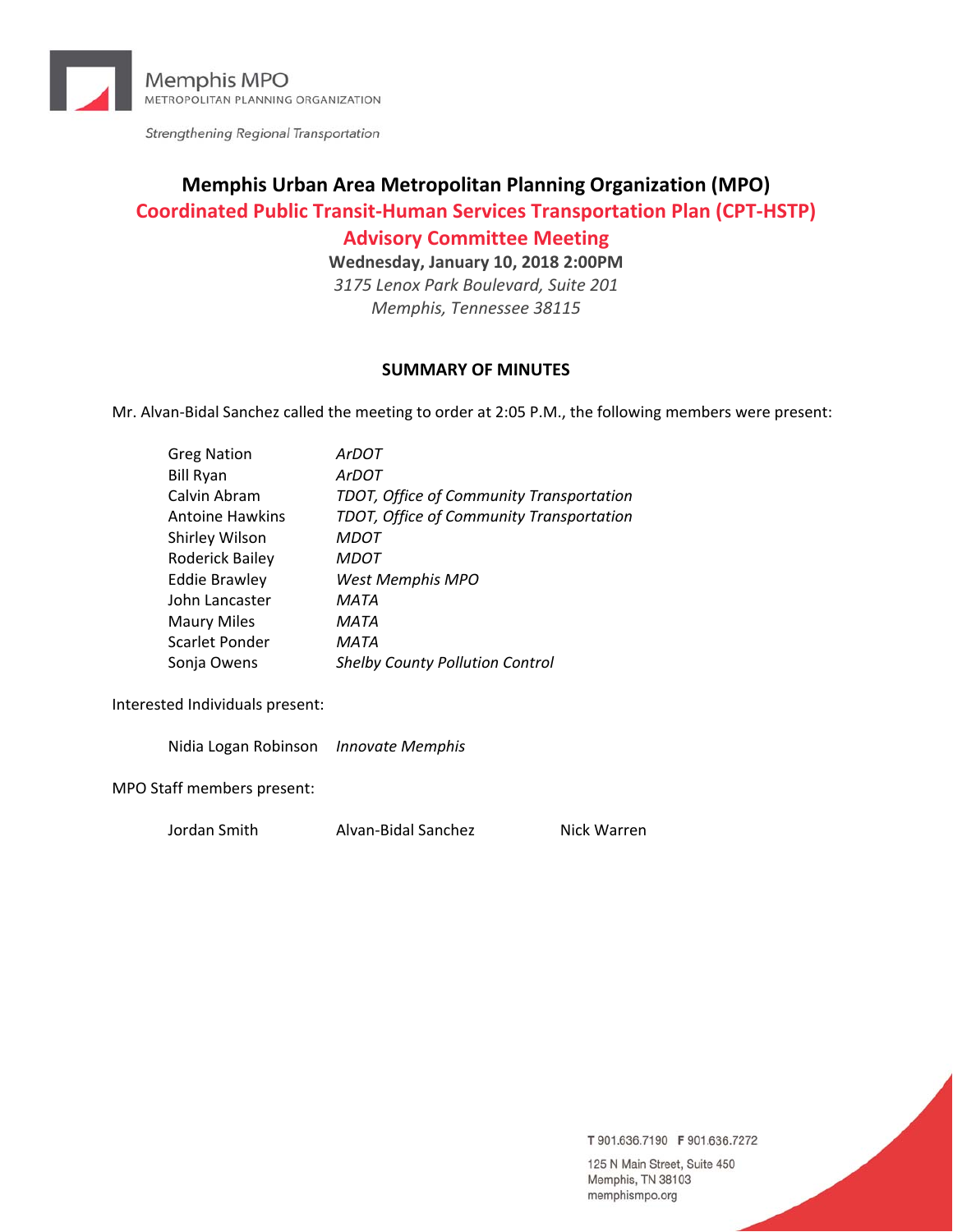

Strengthening Regional Transportation

# **Memphis Urban Area Metropolitan Planning Organization (MPO) Coordinated Public Transit‐Human Services Transportation Plan (CPT‐HSTP)**

# **Advisory Committee Meeting**

**Wednesday, January 10, 2018 2:00PM**

*3175 Lenox Park Boulevard, Suite 201 Memphis, Tennessee 38115*

# **SUMMARY OF MINUTES**

Mr. Alvan‐Bidal Sanchez called the meeting to order at 2:05 P.M., the following members were present:

| <b>Greg Nation</b>     | <b>ArDOT</b>                             |
|------------------------|------------------------------------------|
| <b>Bill Ryan</b>       | <b>ArDOT</b>                             |
| Calvin Abram           | TDOT, Office of Community Transportation |
| <b>Antoine Hawkins</b> | TDOT, Office of Community Transportation |
| Shirley Wilson         | <b>MDOT</b>                              |
| Roderick Bailey        | <b>MDOT</b>                              |
| <b>Eddie Brawley</b>   | West Memphis MPO                         |
| John Lancaster         | MATA                                     |
| <b>Maury Miles</b>     | MATA                                     |
| Scarlet Ponder         | MATA                                     |
| Sonja Owens            | <b>Shelby County Pollution Control</b>   |

Interested Individuals present:

Nidia Logan Robinson *Innovate Memphis*

MPO Staff members present:

Jordan Smith Alvan‐Bidal Sanchez Nick Warren

T 901.636.7190 F 901.636.7272

125 N Main Street, Suite 450 Memphis, TN 38103 memphismpo.org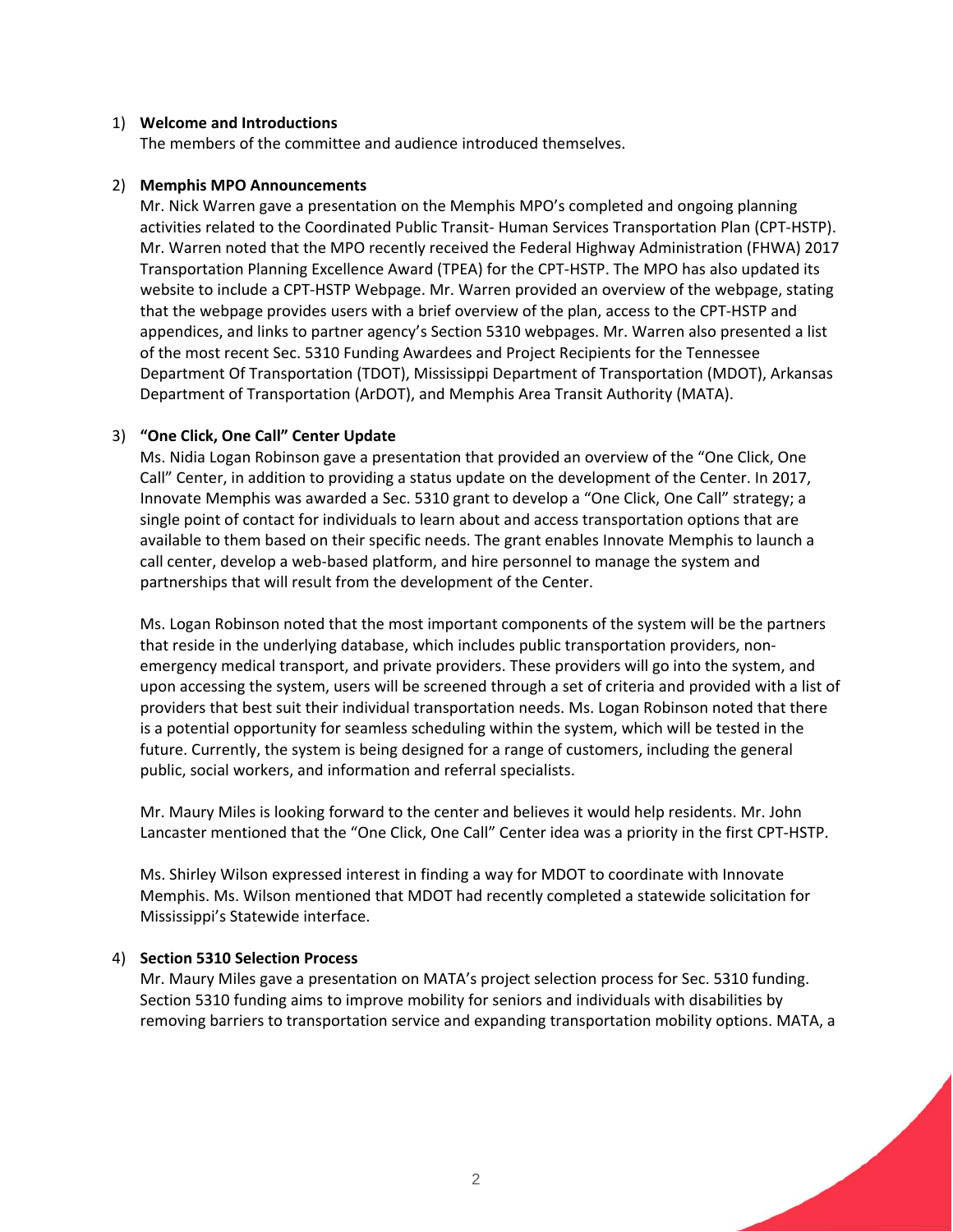#### 1) **Welcome and Introductions**

The members of the committee and audience introduced themselves.

#### 2) **Memphis MPO Announcements**

Mr. Nick Warren gave a presentation on the Memphis MPO's completed and ongoing planning activities related to the Coordinated Public Transit‐ Human Services Transportation Plan (CPT‐HSTP). Mr. Warren noted that the MPO recently received the Federal Highway Administration (FHWA) 2017 Transportation Planning Excellence Award (TPEA) for the CPT‐HSTP. The MPO has also updated its website to include a CPT‐HSTP Webpage. Mr. Warren provided an overview of the webpage, stating that the webpage provides users with a brief overview of the plan, access to the CPT‐HSTP and appendices, and links to partner agency's Section 5310 webpages. Mr. Warren also presented a list of the most recent Sec. 5310 Funding Awardees and Project Recipients for the Tennessee Department Of Transportation (TDOT), Mississippi Department of Transportation (MDOT), Arkansas Department of Transportation (ArDOT), and Memphis Area Transit Authority (MATA).

# 3) **"One Click, One Call" Center Update**

Ms. Nidia Logan Robinson gave a presentation that provided an overview of the "One Click, One Call" Center, in addition to providing a status update on the development of the Center. In 2017, Innovate Memphis was awarded a Sec. 5310 grant to develop a "One Click, One Call" strategy; a single point of contact for individuals to learn about and access transportation options that are available to them based on their specific needs. The grant enables Innovate Memphis to launch a call center, develop a web-based platform, and hire personnel to manage the system and partnerships that will result from the development of the Center.

Ms. Logan Robinson noted that the most important components of the system will be the partners that reside in the underlying database, which includes public transportation providers, non‐ emergency medical transport, and private providers. These providers will go into the system, and upon accessing the system, users will be screened through a set of criteria and provided with a list of providers that best suit their individual transportation needs. Ms. Logan Robinson noted that there is a potential opportunity for seamless scheduling within the system, which will be tested in the future. Currently, the system is being designed for a range of customers, including the general public, social workers, and information and referral specialists.

Mr. Maury Miles is looking forward to the center and believes it would help residents. Mr. John Lancaster mentioned that the "One Click, One Call" Center idea was a priority in the first CPT‐HSTP.

Ms. Shirley Wilson expressed interest in finding a way for MDOT to coordinate with Innovate Memphis. Ms. Wilson mentioned that MDOT had recently completed a statewide solicitation for Mississippi's Statewide interface.

# 4) **Section 5310 Selection Process**

Mr. Maury Miles gave a presentation on MATA's project selection process for Sec. 5310 funding. Section 5310 funding aims to improve mobility for seniors and individuals with disabilities by removing barriers to transportation service and expanding transportation mobility options. MATA, a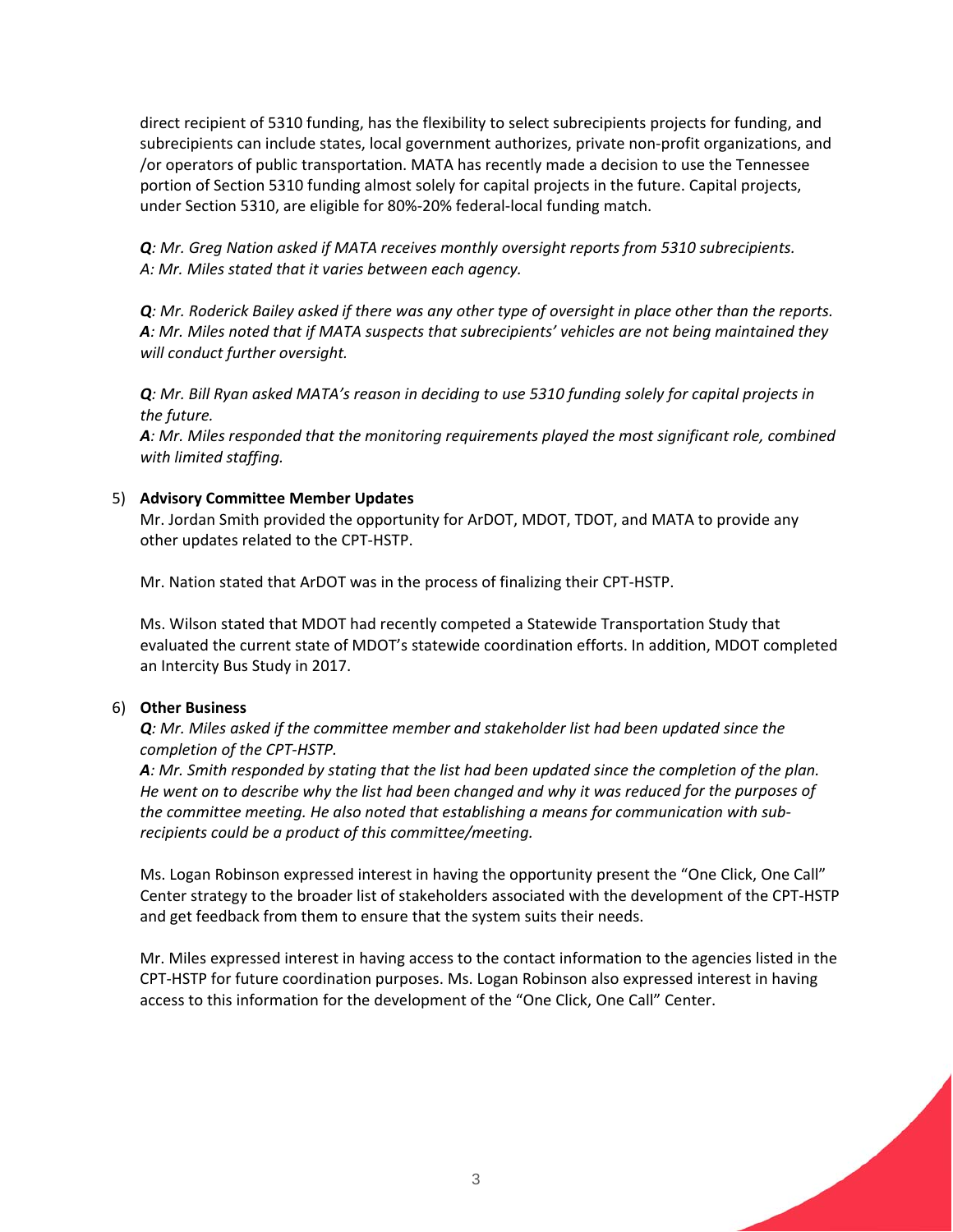direct recipient of 5310 funding, has the flexibility to select subrecipients projects for funding, and subrecipients can include states, local government authorizes, private non-profit organizations, and /or operators of public transportation. MATA has recently made a decision to use the Tennessee portion of Section 5310 funding almost solely for capital projects in the future. Capital projects, under Section 5310, are eligible for 80%‐20% federal‐local funding match.

*Q: Mr. Greg Nation asked if MATA receives monthly oversight reports from 5310 subrecipients. A: Mr. Miles stated that it varies between each agency.*

Q: Mr. Roderick Bailey asked if there was any other type of oversight in place other than the reports. *A: Mr. Miles noted that if MATA suspects that subrecipients' vehicles are not being maintained they will conduct further oversight.* 

Q: Mr. Bill Ryan asked MATA's reason in deciding to use 5310 funding solely for capital projects in *the future.*

*A: Mr. Miles responded that the monitoring requirements played the most significant role, combined with limited staffing.*

#### 5) **Advisory Committee Member Updates**

Mr. Jordan Smith provided the opportunity for ArDOT, MDOT, TDOT, and MATA to provide any other updates related to the CPT‐HSTP.

Mr. Nation stated that ArDOT was in the process of finalizing their CPT‐HSTP.

Ms. Wilson stated that MDOT had recently competed a Statewide Transportation Study that evaluated the current state of MDOT's statewide coordination efforts. In addition, MDOT completed an Intercity Bus Study in 2017.

#### 6) **Other Business**

*Q: Mr. Miles asked if the committee member and stakeholder list had been updated since the completion of the CPT‐HSTP.*

A: Mr. Smith responded by stating that the list had been updated since the completion of the plan. He went on to describe why the list had been changed and why it was reduced for the purposes of *the committee meeting. He also noted that establishing a means for communication with sub‐ recipients could be a product of this committee/meeting.*

Ms. Logan Robinson expressed interest in having the opportunity present the "One Click, One Call" Center strategy to the broader list of stakeholders associated with the development of the CPT‐HSTP and get feedback from them to ensure that the system suits their needs.

Mr. Miles expressed interest in having access to the contact information to the agencies listed in the CPT‐HSTP for future coordination purposes. Ms. Logan Robinson also expressed interest in having access to this information for the development of the "One Click, One Call" Center.